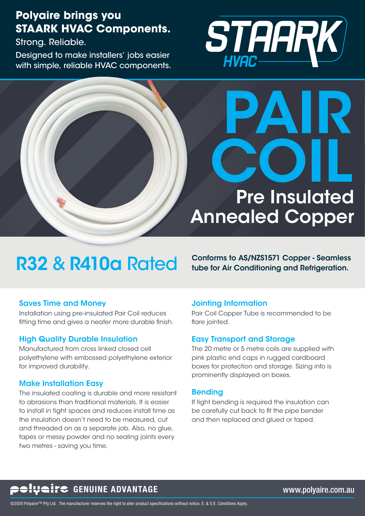## **Polyaire brings you STAARK HVAC Components.**

Strong. Reliable.

Designed to make installers' jobs easier with simple, reliable HVAC components.





# R32 & R410a Rated Conforms to AS/NZS1571 Copper - Seamless

#### Saves Time and Money

Installation using pre-insulated Pair Coil reduces fitting time and gives a neater more durable finish.

#### High Quality Durable Insulation

Manufactured from cross linked closed cell polyethylene with embossed polyethylene exterior for improved durability.

#### Make Installation Easy

The insulated coating is durable and more resistant to abrasions than traditional materials. It is easier to install in tight spaces and reduces install time as the insulation doesn't need to be measured, cut and threaded on as a separate job. Also, no glue, tapes or messy powder and no sealing joints every two metres - saving you time.

#### Jointing Information

Pair Coil Copper Tube is recommended to be flare jointed.

#### Easy Transport and Storage

The 20 metre or 5 metre coils are supplied with pink plastic end caps in rugged cardboard boxes for protection and storage. Sizing info is prominently displayed on boxes.

#### Bending

If tight bending is required the insulation can be carefully cut back to fit the pipe bender and then replaced and glued or taped.

## **CONTRETT CONTAGE WAS SERVED ASSESSED AT A CONTRACT ADVANTAGE WAS ARRIVED ASSESSED.** WWW.polyaire.com.au